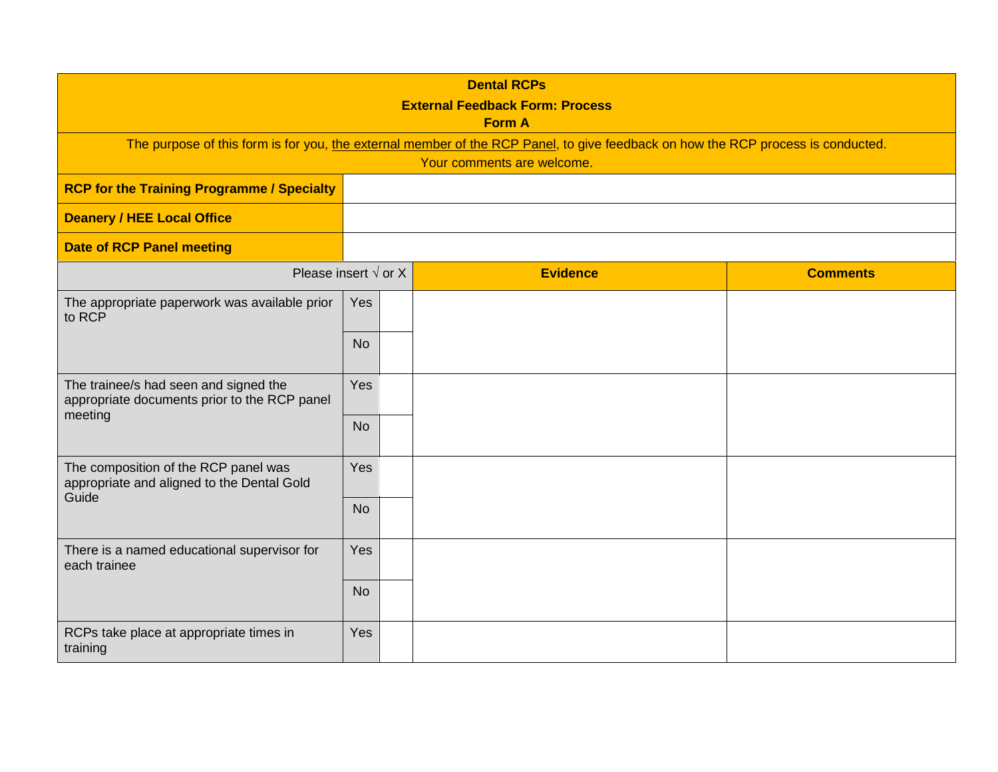| <b>Dental RCPs</b><br><b>External Feedback Form: Process</b><br><b>Form A</b>                                                                                  |            |                 |                 |  |  |  |
|----------------------------------------------------------------------------------------------------------------------------------------------------------------|------------|-----------------|-----------------|--|--|--|
| The purpose of this form is for you, the external member of the RCP Panel, to give feedback on how the RCP process is conducted.<br>Your comments are welcome. |            |                 |                 |  |  |  |
| <b>RCP for the Training Programme / Specialty</b>                                                                                                              |            |                 |                 |  |  |  |
| <b>Deanery / HEE Local Office</b>                                                                                                                              |            |                 |                 |  |  |  |
| <b>Date of RCP Panel meeting</b>                                                                                                                               |            |                 |                 |  |  |  |
| Please insert $\sqrt{$ or X                                                                                                                                    |            | <b>Evidence</b> | <b>Comments</b> |  |  |  |
| The appropriate paperwork was available prior<br>to RCP                                                                                                        | <b>Yes</b> |                 |                 |  |  |  |
|                                                                                                                                                                | <b>No</b>  |                 |                 |  |  |  |
| The trainee/s had seen and signed the<br>appropriate documents prior to the RCP panel<br>meeting                                                               | Yes        |                 |                 |  |  |  |
|                                                                                                                                                                | <b>No</b>  |                 |                 |  |  |  |
| The composition of the RCP panel was<br>appropriate and aligned to the Dental Gold<br>Guide                                                                    | Yes        |                 |                 |  |  |  |
|                                                                                                                                                                | <b>No</b>  |                 |                 |  |  |  |
| There is a named educational supervisor for<br>each trainee                                                                                                    | Yes        |                 |                 |  |  |  |
|                                                                                                                                                                | <b>No</b>  |                 |                 |  |  |  |
| RCPs take place at appropriate times in<br>training                                                                                                            | Yes        |                 |                 |  |  |  |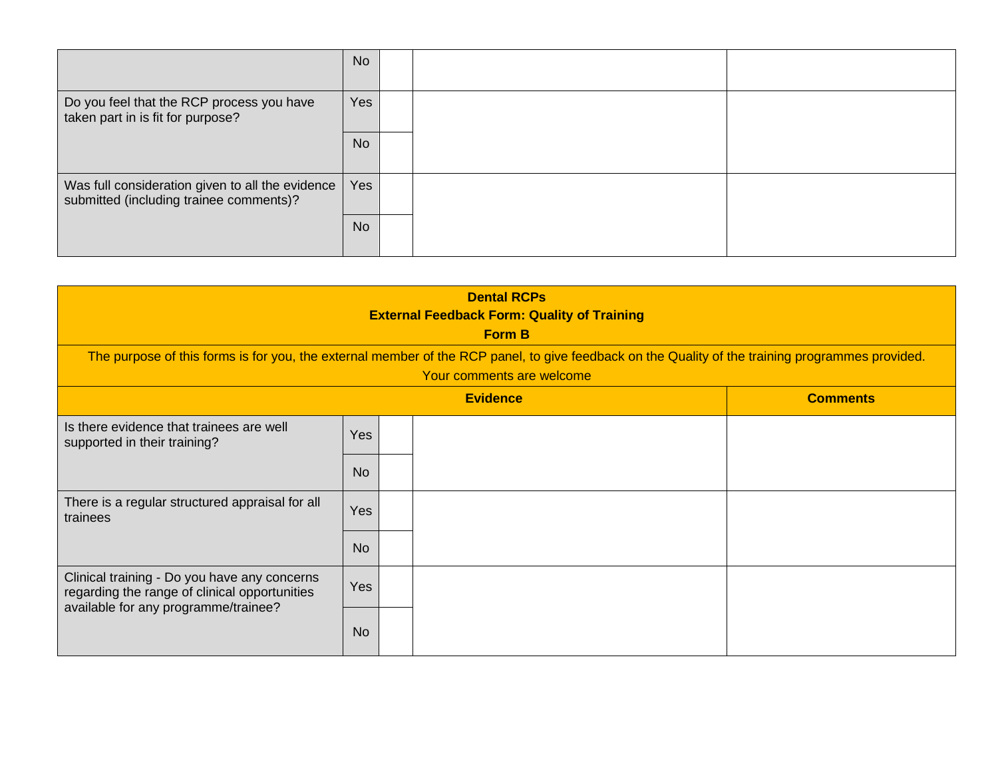|                                                                                             | <b>No</b>  |  |  |
|---------------------------------------------------------------------------------------------|------------|--|--|
| Do you feel that the RCP process you have<br>taken part in is fit for purpose?              | <b>Yes</b> |  |  |
|                                                                                             | <b>No</b>  |  |  |
| Was full consideration given to all the evidence<br>submitted (including trainee comments)? | Yes        |  |  |
|                                                                                             | <b>No</b>  |  |  |

| <b>Dental RCPs</b><br><b>External Feedback Form: Quality of Training</b><br><b>Form B</b><br>The purpose of this forms is for you, the external member of the RCP panel, to give feedback on the Quality of the training programmes provided.<br>Your comments are welcome |            |                 |                 |  |  |
|----------------------------------------------------------------------------------------------------------------------------------------------------------------------------------------------------------------------------------------------------------------------------|------------|-----------------|-----------------|--|--|
|                                                                                                                                                                                                                                                                            |            | <b>Evidence</b> | <b>Comments</b> |  |  |
| Is there evidence that trainees are well<br>supported in their training?                                                                                                                                                                                                   | <b>Yes</b> |                 |                 |  |  |
|                                                                                                                                                                                                                                                                            | <b>No</b>  |                 |                 |  |  |
| There is a regular structured appraisal for all<br>trainees                                                                                                                                                                                                                | Yes        |                 |                 |  |  |
|                                                                                                                                                                                                                                                                            | <b>No</b>  |                 |                 |  |  |
| Clinical training - Do you have any concerns<br>regarding the range of clinical opportunities<br>available for any programme/trainee?                                                                                                                                      | <b>Yes</b> |                 |                 |  |  |
|                                                                                                                                                                                                                                                                            | <b>No</b>  |                 |                 |  |  |